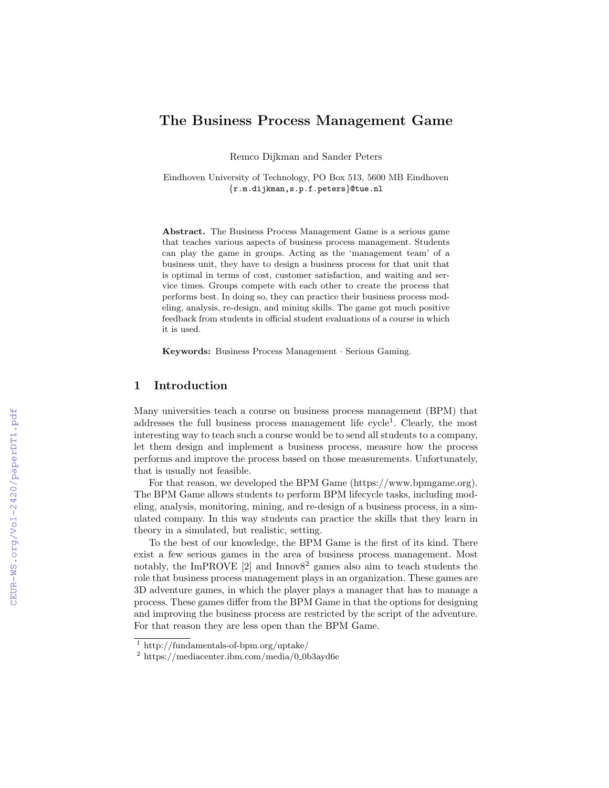# The Business Process Management Game

Remco Dijkman and Sander Peters

Eindhoven University of Technology, PO Box 513, 5600 MB Eindhoven {r.m.dijkman,s.p.f.peters}@tue.nl

Abstract. The Business Process Management Game is a serious game that teaches various aspects of business process management. Students can play the game in groups. Acting as the 'management team' of a business unit, they have to design a business process for that unit that is optimal in terms of cost, customer satisfaction, and waiting and service times. Groups compete with each other to create the process that performs best. In doing so, they can practice their business process modeling, analysis, re-design, and mining skills. The game got much positive feedback from students in official student evaluations of a course in which it is used.

Keywords: Business Process Management · Serious Gaming.

## 1 Introduction

Many universities teach a course on business process management (BPM) that addresses the full business process management life  $cycle<sup>1</sup>$ . Clearly, the most interesting way to teach such a course would be to send all students to a company, let them design and implement a business process, measure how the process performs and improve the process based on those measurements. Unfortunately, that is usually not feasible.

For that reason, we developed the BPM Game (https://www.bpmgame.org). The BPM Game allows students to perform BPM lifecycle tasks, including modeling, analysis, monitoring, mining, and re-design of a business process, in a simulated company. In this way students can practice the skills that they learn in theory in a simulated, but realistic, setting.

To the best of our knowledge, the BPM Game is the first of its kind. There exist a few serious games in the area of business process management. Most notably, the ImPROVE [2] and Innov $8^2$  games also aim to teach students the role that business process management plays in an organization. These games are 3D adventure games, in which the player plays a manager that has to manage a process. These games differ from the BPM Game in that the options for designing and improving the business process are restricted by the script of the adventure. For that reason they are less open than the BPM Game.

<sup>1</sup> http://fundamentals-of-bpm.org/uptake/

 $2 \text{ https://mediacenter.ibm.com/media/0.0b3ayd6e}$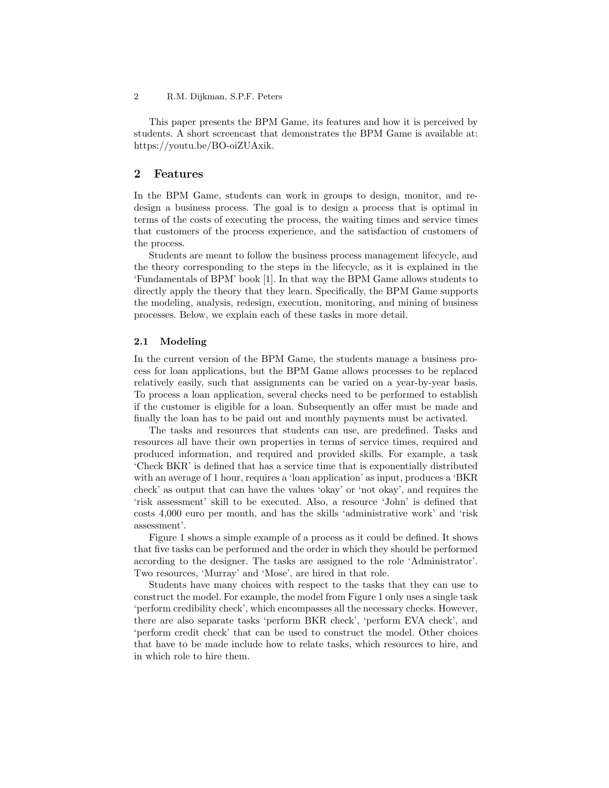This paper presents the BPM Game, its features and how it is perceived by students. A short screencast that demonstrates the BPM Game is available at: https://youtu.be/BO-oiZUAxik.

## 2 Features

In the BPM Game, students can work in groups to design, monitor, and redesign a business process. The goal is to design a process that is optimal in terms of the costs of executing the process, the waiting times and service times that customers of the process experience, and the satisfaction of customers of the process.

Students are meant to follow the business process management lifecycle, and the theory corresponding to the steps in the lifecycle, as it is explained in the 'Fundamentals of BPM' book [1]. In that way the BPM Game allows students to directly apply the theory that they learn. Specifically, the BPM Game supports the modeling, analysis, redesign, execution, monitoring, and mining of business processes. Below, we explain each of these tasks in more detail.

#### 2.1 Modeling

In the current version of the BPM Game, the students manage a business process for loan applications, but the BPM Game allows processes to be replaced relatively easily, such that assignments can be varied on a year-by-year basis. To process a loan application, several checks need to be performed to establish if the customer is eligible for a loan. Subsequently an offer must be made and finally the loan has to be paid out and monthly payments must be activated.

The tasks and resources that students can use, are predefined. Tasks and resources all have their own properties in terms of service times, required and produced information, and required and provided skills. For example, a task 'Check BKR' is defined that has a service time that is exponentially distributed with an average of 1 hour, requires a 'loan application' as input, produces a 'BKR check' as output that can have the values 'okay' or 'not okay', and requires the 'risk assessment' skill to be executed. Also, a resource 'John' is defined that costs 4,000 euro per month, and has the skills 'administrative work' and 'risk assessment'.

Figure 1 shows a simple example of a process as it could be defined. It shows that five tasks can be performed and the order in which they should be performed according to the designer. The tasks are assigned to the role 'Administrator'. Two resources, 'Murray' and 'Mose', are hired in that role.

Students have many choices with respect to the tasks that they can use to construct the model. For example, the model from Figure 1 only uses a single task 'perform credibility check', which encompasses all the necessary checks. However, there are also separate tasks 'perform BKR check', 'perform EVA check', and 'perform credit check' that can be used to construct the model. Other choices that have to be made include how to relate tasks, which resources to hire, and in which role to hire them.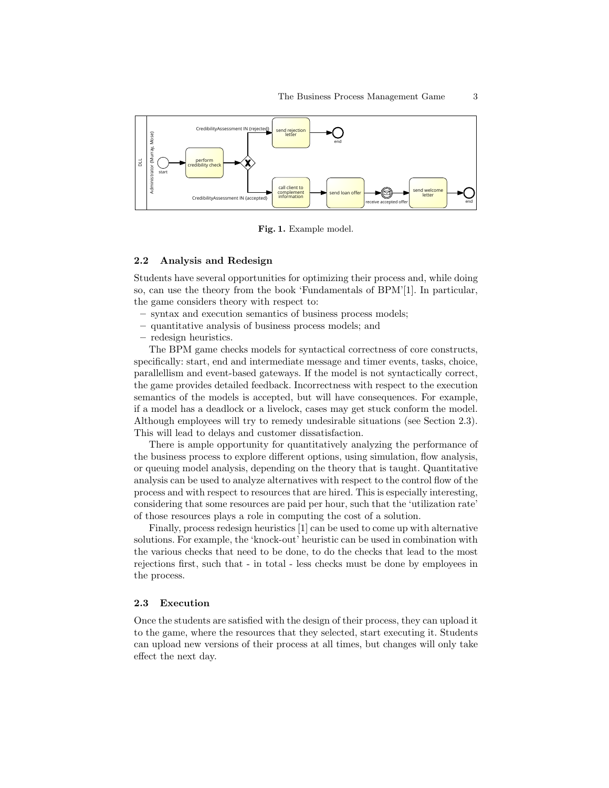

Fig. 1. Example model.

#### 2.2 Analysis and Redesign

Students have several opportunities for optimizing their process and, while doing so, can use the theory from the book 'Fundamentals of BPM'[1]. In particular, the game considers theory with respect to:

- syntax and execution semantics of business process models;
- quantitative analysis of business process models; and
- redesign heuristics.

The BPM game checks models for syntactical correctness of core constructs, specifically: start, end and intermediate message and timer events, tasks, choice, parallellism and event-based gateways. If the model is not syntactically correct, the game provides detailed feedback. Incorrectness with respect to the execution semantics of the models is accepted, but will have consequences. For example, if a model has a deadlock or a livelock, cases may get stuck conform the model. Although employees will try to remedy undesirable situations (see Section 2.3). This will lead to delays and customer dissatisfaction.

There is ample opportunity for quantitatively analyzing the performance of the business process to explore different options, using simulation, flow analysis, or queuing model analysis, depending on the theory that is taught. Quantitative analysis can be used to analyze alternatives with respect to the control flow of the process and with respect to resources that are hired. This is especially interesting, considering that some resources are paid per hour, such that the 'utilization rate' of those resources plays a role in computing the cost of a solution.

Finally, process redesign heuristics [1] can be used to come up with alternative solutions. For example, the 'knock-out' heuristic can be used in combination with the various checks that need to be done, to do the checks that lead to the most rejections first, such that - in total - less checks must be done by employees in the process.

### 2.3 Execution

Once the students are satisfied with the design of their process, they can upload it to the game, where the resources that they selected, start executing it. Students can upload new versions of their process at all times, but changes will only take effect the next day.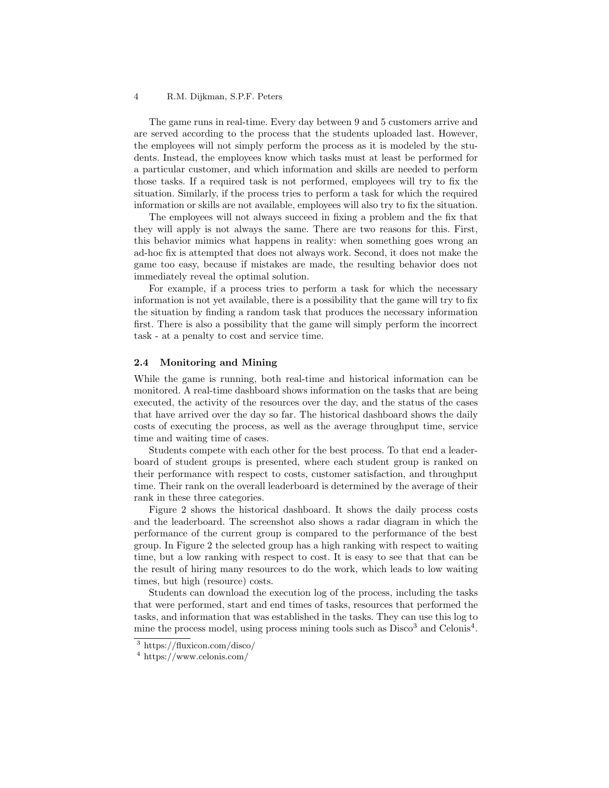#### 4 R.M. Dijkman, S.P.F. Peters

The game runs in real-time. Every day between 9 and 5 customers arrive and are served according to the process that the students uploaded last. However, the employees will not simply perform the process as it is modeled by the students. Instead, the employees know which tasks must at least be performed for a particular customer, and which information and skills are needed to perform those tasks. If a required task is not performed, employees will try to fix the situation. Similarly, if the process tries to perform a task for which the required information or skills are not available, employees will also try to fix the situation.

The employees will not always succeed in fixing a problem and the fix that they will apply is not always the same. There are two reasons for this. First, this behavior mimics what happens in reality: when something goes wrong an ad-hoc fix is attempted that does not always work. Second, it does not make the game too easy, because if mistakes are made, the resulting behavior does not immediately reveal the optimal solution.

For example, if a process tries to perform a task for which the necessary information is not yet available, there is a possibility that the game will try to fix the situation by finding a random task that produces the necessary information first. There is also a possibility that the game will simply perform the incorrect task - at a penalty to cost and service time.

### 2.4 Monitoring and Mining

While the game is running, both real-time and historical information can be monitored. A real-time dashboard shows information on the tasks that are being executed, the activity of the resources over the day, and the status of the cases that have arrived over the day so far. The historical dashboard shows the daily costs of executing the process, as well as the average throughput time, service time and waiting time of cases.

Students compete with each other for the best process. To that end a leaderboard of student groups is presented, where each student group is ranked on their performance with respect to costs, customer satisfaction, and throughput time. Their rank on the overall leaderboard is determined by the average of their rank in these three categories.

Figure 2 shows the historical dashboard. It shows the daily process costs and the leaderboard. The screenshot also shows a radar diagram in which the performance of the current group is compared to the performance of the best group. In Figure 2 the selected group has a high ranking with respect to waiting time, but a low ranking with respect to cost. It is easy to see that that can be the result of hiring many resources to do the work, which leads to low waiting times, but high (resource) costs.

Students can download the execution log of the process, including the tasks that were performed, start and end times of tasks, resources that performed the tasks, and information that was established in the tasks. They can use this log to mine the process model, using process mining tools such as  $Disco<sup>3</sup>$  and Celonis<sup>4</sup>.

<sup>3</sup> https://fluxicon.com/disco/

<sup>4</sup> https://www.celonis.com/